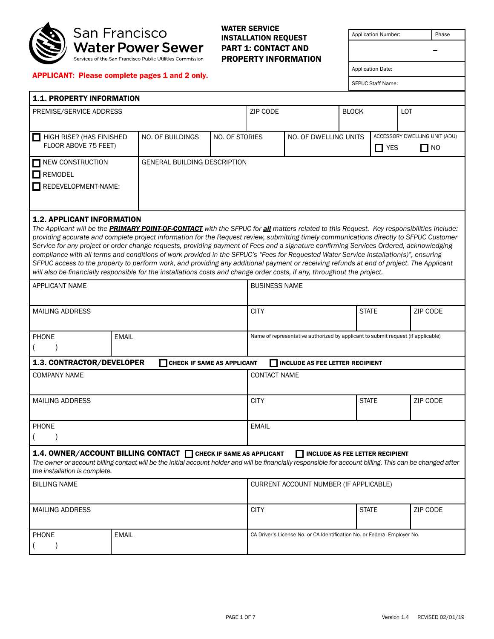

#### WATER SERVICE INSTALLATION REQUEST PART 1: CONTACT AND PROPERTY INFORMATION

| Application Number: |                          |                               | Phase |  |
|---------------------|--------------------------|-------------------------------|-------|--|
|                     |                          |                               |       |  |
|                     |                          |                               |       |  |
|                     | <b>Application Date:</b> |                               |       |  |
|                     | <b>SFPUC Staff Name:</b> |                               |       |  |
|                     |                          |                               |       |  |
| оск                 |                          | LOT                           |       |  |
|                     |                          |                               |       |  |
| <b>NITS</b>         |                          | ACCESSORY DWELLING UNIT (ADU) |       |  |
|                     | <b>YFS</b>               |                               | NΟ    |  |

#### APPLICANT: Please complete pages 1 and 2 only.

| <b>1.1. PROPERTY INFORMATION</b> |                                     |                |          |                       |              |            |                               |
|----------------------------------|-------------------------------------|----------------|----------|-----------------------|--------------|------------|-------------------------------|
| PREMISE/SERVICE ADDRESS          |                                     |                | ZIP CODE |                       | <b>BLOCK</b> |            | LOT                           |
|                                  |                                     |                |          |                       |              |            |                               |
| HIGH RISE? (HAS FINISHED         | NO. OF BUILDINGS                    | NO. OF STORIES |          | NO. OF DWELLING UNITS |              |            | ACCESSORY DWELLING UNIT (ADU) |
| FLOOR ABOVE 75 FEET)             |                                     |                |          |                       |              | $\Box$ YES | $\Box$ NO                     |
| NEW CONSTRUCTION                 | <b>GENERAL BUILDING DESCRIPTION</b> |                |          |                       |              |            |                               |
| REMODEL<br>$\mathbf{I}$          |                                     |                |          |                       |              |            |                               |
| REDEVELOPMENT-NAME:<br>. .       |                                     |                |          |                       |              |            |                               |
|                                  |                                     |                |          |                       |              |            |                               |
|                                  |                                     |                |          |                       |              |            |                               |

#### 1.2. APPLICANT INFORMATION

*The Applicant will be the PRIMARY POINT-OF-CONTACT with the SFPUC for all matters related to this Request. Key responsibilities include: providing accurate and complete project information for the Request review, submitting timely communications directly to SFPUC Customer Service for any project or order change requests, providing payment of Fees and a signature confirming Services Ordered, acknowledging compliance with all terms and conditions of work provided in the SFPUC's "Fees for Requested Water Service Installation(s)", ensuring SFPUC access to the property to perform work, and providing any additional payment or receiving refunds at end of project. The Applicant will also be financially responsible for the installations costs and change order costs, if any, throughout the project.*

| <b>APPLICANT NAME</b>         |                                                                                                                                                                                                                             | <b>BUSINESS NAME</b>                                                     |                                                                                  |          |  |
|-------------------------------|-----------------------------------------------------------------------------------------------------------------------------------------------------------------------------------------------------------------------------|--------------------------------------------------------------------------|----------------------------------------------------------------------------------|----------|--|
| <b>MAILING ADDRESS</b>        |                                                                                                                                                                                                                             | <b>CITY</b>                                                              | <b>STATE</b>                                                                     | ZIP CODE |  |
| <b>PHONE</b>                  | <b>EMAIL</b>                                                                                                                                                                                                                |                                                                          | Name of representative authorized by applicant to submit request (if applicable) |          |  |
| 1.3. CONTRACTOR/DEVELOPER     | <b>THE CHECK IF SAME AS APPLICANT</b>                                                                                                                                                                                       | <b>INCLUDE AS FEE LETTER RECIPIENT</b>                                   |                                                                                  |          |  |
| <b>COMPANY NAME</b>           |                                                                                                                                                                                                                             | <b>CONTACT NAME</b>                                                      |                                                                                  |          |  |
| <b>MAILING ADDRESS</b>        |                                                                                                                                                                                                                             | <b>CITY</b>                                                              | <b>STATE</b>                                                                     | ZIP CODE |  |
| <b>PHONE</b>                  |                                                                                                                                                                                                                             | <b>EMAIL</b>                                                             |                                                                                  |          |  |
| the installation is complete. | 1.4. OWNER/ACCOUNT BILLING CONTACT CHECK IF SAME AS APPLICANT<br>The owner or account billing contact will be the initial account holder and will be financially responsible for account billing. This can be changed after | INCLUDE AS FEE LETTER RECIPIENT                                          |                                                                                  |          |  |
| <b>BILLING NAME</b>           |                                                                                                                                                                                                                             | CURRENT ACCOUNT NUMBER (IF APPLICABLE)                                   |                                                                                  |          |  |
| <b>MAILING ADDRESS</b>        |                                                                                                                                                                                                                             | <b>CITY</b>                                                              | <b>STATE</b>                                                                     | ZIP CODE |  |
| <b>PHONE</b><br><b>EMAIL</b>  |                                                                                                                                                                                                                             | CA Driver's License No. or CA Identification No. or Federal Employer No. |                                                                                  |          |  |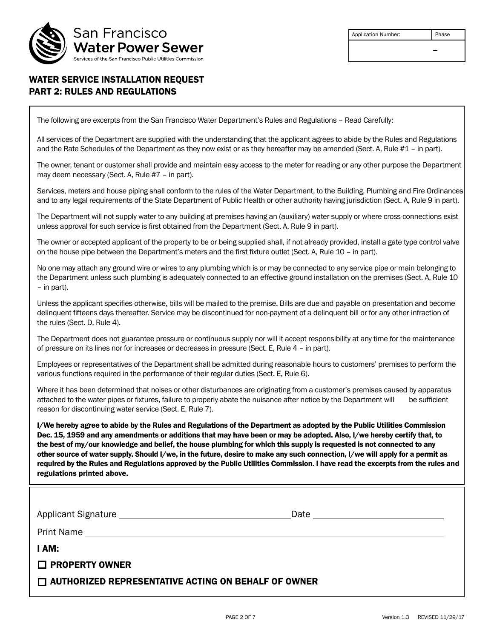

| <b>Application Number:</b> | Phase |
|----------------------------|-------|
|                            |       |
|                            |       |

## WATER SERVICE INSTALLATION REQUEST PART 2: RULES AND REGULATIONS

The following are excerpts from the San Francisco Water Department's Rules and Regulations – Read Carefully:

All services of the Department are supplied with the understanding that the applicant agrees to abide by the Rules and Regulations and the Rate Schedules of the Department as they now exist or as they hereafter may be amended (Sect. A, Rule #1 – in part).

The owner, tenant or customer shall provide and maintain easy access to the meter for reading or any other purpose the Department may deem necessary (Sect. A, Rule #7 – in part).

Services, meters and house piping shall conform to the rules of the Water Department, to the Building, Plumbing and Fire Ordinances and to any legal requirements of the State Department of Public Health or other authority having jurisdiction (Sect. A, Rule 9 in part).

The Department will not supply water to any building at premises having an (auxiliary) water supply or where cross-connections exist unless approval for such service is first obtained from the Department (Sect. A, Rule 9 in part).

The owner or accepted applicant of the property to be or being supplied shall, if not already provided, install a gate type control valve on the house pipe between the Department's meters and the first fixture outlet (Sect. A, Rule 10 – in part).

No one may attach any ground wire or wires to any plumbing which is or may be connected to any service pipe or main belonging to the Department unless such plumbing is adequately connected to an effective ground installation on the premises (Sect. A, Rule 10 – in part).

Unless the applicant specifies otherwise, bills will be mailed to the premise. Bills are due and payable on presentation and become delinquent fifteens days thereafter. Service may be discontinued for non-payment of a delinquent bill or for any other infraction of the rules (Sect. D, Rule 4).

The Department does not guarantee pressure or continuous supply nor will it accept responsibility at any time for the maintenance of pressure on its lines nor for increases or decreases in pressure (Sect. E, Rule 4 – in part).

Employees or representatives of the Department shall be admitted during reasonable hours to customers' premises to perform the various functions required in the performance of their regular duties (Sect. E, Rule 6).

Where it has been determined that noises or other disturbances are originating from a customer's premises caused by apparatus attached to the water pipes or fixtures, failure to properly abate the nuisance after notice by the Department will be sufficient reason for discontinuing water service (Sect. E, Rule 7).

I/We hereby agree to abide by the Rules and Regulations of the Department as adopted by the Public Utilities Commission Dec. 15, 1959 and any amendments or additions that may have been or may be adopted. Also, I/we hereby certify that, to the best of my/our knowledge and belief, the house plumbing for which this supply is requested is not connected to any other source of water supply. Should I/we, in the future, desire to make any such connection, I/we will apply for a permit as required by the Rules and Regulations approved by the Public Utilities Commission. I have read the excerpts from the rules and regulations printed above.

| I AM:                                                      |  |  |  |  |
|------------------------------------------------------------|--|--|--|--|
| $\Box$ PROPERTY OWNER                                      |  |  |  |  |
| $\Box$ AUTHORIZED REPRESENTATIVE ACTING ON BEHALF OF OWNER |  |  |  |  |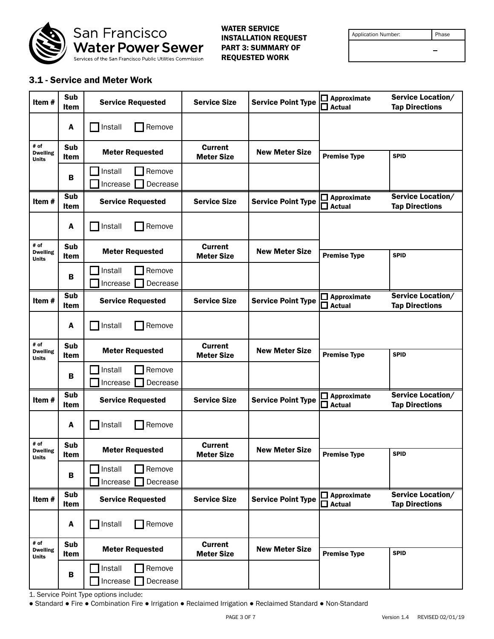

WATER SERVICE INSTALLATION REQUEST PART 3: SUMMARY OF REQUESTED WORK

| <b>Application Number:</b> |  |
|----------------------------|--|
|                            |  |

Phase

 $\overline{\phantom{0}}$ 

### 3.1 - Service and Meter Work

| Item#                                   | Sub<br><b>Item</b> | <b>Service Requested</b>                  | <b>Service Size</b>                 | <b>Service Point Type</b> | $\Box$ Approximate<br>$\Box$ Actual    | Service Location/<br><b>Tap Directions</b> |
|-----------------------------------------|--------------------|-------------------------------------------|-------------------------------------|---------------------------|----------------------------------------|--------------------------------------------|
|                                         | A                  | Install<br>Remove                         |                                     |                           |                                        |                                            |
| # of<br><b>Dwelling</b><br><b>Units</b> | Sub<br>Item        | <b>Meter Requested</b>                    | <b>Current</b><br><b>Meter Size</b> | <b>New Meter Size</b>     | <b>Premise Type</b>                    | <b>SPID</b>                                |
|                                         | в                  | Remove<br>Install<br>Decrease<br>Increase | $\blacktriangledown$                |                           |                                        |                                            |
| Item#                                   | Sub<br>Item        | <b>Service Requested</b>                  | <b>Service Size</b>                 | <b>Service Point Type</b> | $\square$ Approximate<br>$\Box$ Actual | Service Location/<br><b>Tap Directions</b> |
|                                         | A                  | Install<br>Remove                         |                                     |                           |                                        |                                            |
| # of<br><b>Dwelling</b><br><b>Units</b> | Sub<br>Item        | <b>Meter Requested</b>                    | <b>Current</b><br><b>Meter Size</b> | <b>New Meter Size</b>     | <b>Premise Type</b>                    | <b>SPID</b>                                |
|                                         | В                  | Remove<br>Install<br>Decrease<br>Increase | $\overline{\phantom{a}}$            |                           |                                        |                                            |
| Item#                                   | Sub<br><b>Item</b> | <b>Service Requested</b>                  | <b>Service Size</b>                 | <b>Service Point Type</b> | $\square$ Approximate<br>$\Box$ Actual | Service Location/<br><b>Tap Directions</b> |
|                                         | A                  | Install<br>Remove                         |                                     |                           |                                        |                                            |
| # of<br><b>Dwelling</b><br><b>Units</b> | Sub<br>Item        | <b>Meter Requested</b>                    | <b>Current</b><br><b>Meter Size</b> | <b>New Meter Size</b>     | <b>Premise Type</b>                    | <b>SPID</b>                                |
|                                         | В                  | Install<br>Remove<br>Decrease<br>Increase | $\overline{\phantom{0}}$            |                           |                                        |                                            |
| Item#                                   | Sub<br>Item        | <b>Service Requested</b>                  | <b>Service Size</b>                 | <b>Service Point Type</b> | $\square$ Approximate<br>$\Box$ Actual | Service Location/<br><b>Tap Directions</b> |
|                                         | A                  | Install<br>Remove                         |                                     |                           |                                        |                                            |
| # of<br><b>Dwelling</b><br><b>Units</b> | Sub<br>Item        | <b>Meter Requested</b>                    | <b>Current</b><br><b>Meter Size</b> | <b>New Meter Size</b>     | <b>Premise Type</b>                    | <b>SPID</b>                                |
|                                         | В                  | Remove<br>Install<br>Increase<br>Decrease | $\overline{\phantom{a}}$            |                           |                                        |                                            |
| Item#                                   | Sub<br>Item        | <b>Service Requested</b>                  | <b>Service Size</b>                 | <b>Service Point Type</b> | $\Box$ Approximate<br>$\square$ Actual | Service Location/<br><b>Tap Directions</b> |
|                                         | A                  | Install<br>Remove                         |                                     |                           |                                        |                                            |
| # of<br><b>Dwelling</b><br><b>Units</b> | Sub<br>Item        | <b>Meter Requested</b>                    | <b>Current</b><br><b>Meter Size</b> | <b>New Meter Size</b>     | <b>Premise Type</b>                    | <b>SPID</b>                                |
|                                         | B                  | Install<br>Remove<br>Increase<br>Decrease | $\blacktriangleright$               |                           |                                        |                                            |

1. Service Point Type options include:

● Standard ● Fire ● Combination Fire ● Irrigation ● Reclaimed Irrigation ● Reclaimed Standard ● Non-Standard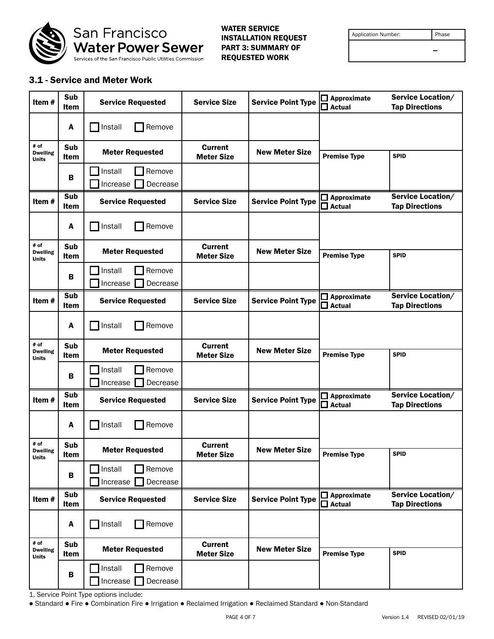

WATER SERVICE INSTALLATION REQUEST PART 3: SUMMARY OF REQUESTED WORK

| <b>Application Number:</b> |  |
|----------------------------|--|
|                            |  |

Phase

 $\overline{\phantom{0}}$ 

### 3.1 - Service and Meter Work

| Item#                                   | Sub<br><b>Item</b> | <b>Service Requested</b>                  | <b>Service Size</b>                 | <b>Service Point Type</b> | $\Box$ Approximate<br>$\Box$ Actual    | Service Location/<br><b>Tap Directions</b> |
|-----------------------------------------|--------------------|-------------------------------------------|-------------------------------------|---------------------------|----------------------------------------|--------------------------------------------|
|                                         | A                  | Install<br>Remove                         |                                     |                           |                                        |                                            |
| # of<br><b>Dwelling</b><br><b>Units</b> | Sub<br>Item        | <b>Meter Requested</b>                    | <b>Current</b><br><b>Meter Size</b> | <b>New Meter Size</b>     | <b>Premise Type</b>                    | <b>SPID</b>                                |
|                                         | в                  | Remove<br>Install<br>Decrease<br>Increase | $\blacktriangledown$                |                           |                                        |                                            |
| Item#                                   | Sub<br>Item        | <b>Service Requested</b>                  | <b>Service Size</b>                 | <b>Service Point Type</b> | $\square$ Approximate<br>$\Box$ Actual | Service Location/<br><b>Tap Directions</b> |
|                                         | A                  | Install<br>Remove                         |                                     |                           |                                        |                                            |
| # of<br><b>Dwelling</b><br><b>Units</b> | Sub<br>Item        | <b>Meter Requested</b>                    | <b>Current</b><br><b>Meter Size</b> | <b>New Meter Size</b>     | <b>Premise Type</b>                    | <b>SPID</b>                                |
|                                         | В                  | Remove<br>Install<br>Decrease<br>Increase | $\overline{\phantom{a}}$            |                           |                                        |                                            |
| Item#                                   | Sub<br><b>Item</b> | <b>Service Requested</b>                  | <b>Service Size</b>                 | <b>Service Point Type</b> | $\square$ Approximate<br>$\Box$ Actual | Service Location/<br><b>Tap Directions</b> |
|                                         | A                  | Install<br>Remove                         |                                     |                           |                                        |                                            |
| # of<br><b>Dwelling</b><br><b>Units</b> | Sub<br>Item        | <b>Meter Requested</b>                    | <b>Current</b><br><b>Meter Size</b> | <b>New Meter Size</b>     | <b>Premise Type</b>                    | <b>SPID</b>                                |
|                                         | В                  | Install<br>Remove<br>Decrease<br>Increase | $\overline{\phantom{0}}$            |                           |                                        |                                            |
| Item#                                   | Sub<br>Item        | <b>Service Requested</b>                  | <b>Service Size</b>                 | <b>Service Point Type</b> | $\square$ Approximate<br>$\Box$ Actual | Service Location/<br><b>Tap Directions</b> |
|                                         | A                  | Install<br>Remove                         |                                     |                           |                                        |                                            |
| # of<br><b>Dwelling</b><br><b>Units</b> | Sub<br>Item        | <b>Meter Requested</b>                    | <b>Current</b><br><b>Meter Size</b> | <b>New Meter Size</b>     | <b>Premise Type</b>                    | <b>SPID</b>                                |
|                                         | В                  | Remove<br>Install<br>Increase<br>Decrease | $\overline{\phantom{a}}$            |                           |                                        |                                            |
| Item#                                   | Sub<br>Item        | <b>Service Requested</b>                  | <b>Service Size</b>                 | <b>Service Point Type</b> | $\Box$ Approximate<br>$\square$ Actual | Service Location/<br><b>Tap Directions</b> |
|                                         | A                  | Install<br>Remove                         |                                     |                           |                                        |                                            |
| # of<br><b>Dwelling</b><br><b>Units</b> | Sub<br>Item        | <b>Meter Requested</b>                    | <b>Current</b><br><b>Meter Size</b> | <b>New Meter Size</b>     | <b>Premise Type</b>                    | <b>SPID</b>                                |
|                                         | B                  | Install<br>Remove<br>Increase<br>Decrease | $\blacktriangleright$               |                           |                                        |                                            |

1. Service Point Type options include:

● Standard ● Fire ● Combination Fire ● Irrigation ● Reclaimed Irrigation ● Reclaimed Standard ● Non-Standard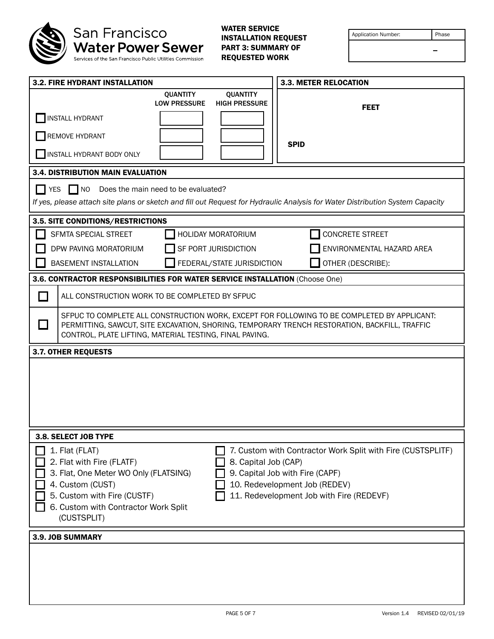

| Application Number: | Phase |  |
|---------------------|-------|--|
|                     |       |  |

| <b>3.2. FIRE HYDRANT INSTALLATION</b>                                                                                                                                                                                                                                                                                                                                                                 | <b>3.3. METER RELOCATION</b>                                                                                                                                                                 |  |  |  |  |
|-------------------------------------------------------------------------------------------------------------------------------------------------------------------------------------------------------------------------------------------------------------------------------------------------------------------------------------------------------------------------------------------------------|----------------------------------------------------------------------------------------------------------------------------------------------------------------------------------------------|--|--|--|--|
| <b>QUANTITY</b><br><b>LOW PRESSURE</b><br><b>INSTALL HYDRANT</b>                                                                                                                                                                                                                                                                                                                                      | <b>QUANTITY</b><br><b>HIGH PRESSURE</b><br><b>FEET</b>                                                                                                                                       |  |  |  |  |
| REMOVE HYDRANT<br>INSTALL HYDRANT BODY ONLY                                                                                                                                                                                                                                                                                                                                                           | <b>SPID</b>                                                                                                                                                                                  |  |  |  |  |
| <b>3.4. DISTRIBUTION MAIN EVALUATION</b>                                                                                                                                                                                                                                                                                                                                                              |                                                                                                                                                                                              |  |  |  |  |
| $\Box$ NO<br>Does the main need to be evaluated?<br>I YES<br>If yes, please attach site plans or sketch and fill out Request for Hydraulic Analysis for Water Distribution System Capacity                                                                                                                                                                                                            |                                                                                                                                                                                              |  |  |  |  |
| 3.5. SITE CONDITIONS/RESTRICTIONS                                                                                                                                                                                                                                                                                                                                                                     |                                                                                                                                                                                              |  |  |  |  |
| <b>SFMTA SPECIAL STREET</b><br>HOLIDAY MORATORIUM                                                                                                                                                                                                                                                                                                                                                     | <b>CONCRETE STREET</b>                                                                                                                                                                       |  |  |  |  |
| DPW PAVING MORATORIUM<br>SF PORT JURISDICTION                                                                                                                                                                                                                                                                                                                                                         | ENVIRONMENTAL HAZARD AREA                                                                                                                                                                    |  |  |  |  |
| <b>BASEMENT INSTALLATION</b><br>FEDERAL/STATE JURISDICTION                                                                                                                                                                                                                                                                                                                                            | OTHER (DESCRIBE):                                                                                                                                                                            |  |  |  |  |
| 3.6. CONTRACTOR RESPONSIBILITIES FOR WATER SERVICE INSTALLATION (Choose One)                                                                                                                                                                                                                                                                                                                          |                                                                                                                                                                                              |  |  |  |  |
| ALL CONSTRUCTION WORK TO BE COMPLETED BY SFPUC<br>$\mathbf{I}$                                                                                                                                                                                                                                                                                                                                        |                                                                                                                                                                                              |  |  |  |  |
| $\sim$<br>CONTROL, PLATE LIFTING, MATERIAL TESTING, FINAL PAVING.                                                                                                                                                                                                                                                                                                                                     | SFPUC TO COMPLETE ALL CONSTRUCTION WORK, EXCEPT FOR FOLLOWING TO BE COMPLETED BY APPLICANT:<br>PERMITTING, SAWCUT, SITE EXCAVATION, SHORING, TEMPORARY TRENCH RESTORATION, BACKFILL, TRAFFIC |  |  |  |  |
| <b>3.7. OTHER REQUESTS</b>                                                                                                                                                                                                                                                                                                                                                                            |                                                                                                                                                                                              |  |  |  |  |
|                                                                                                                                                                                                                                                                                                                                                                                                       |                                                                                                                                                                                              |  |  |  |  |
| 3.8. SELECT JOB TYPE                                                                                                                                                                                                                                                                                                                                                                                  |                                                                                                                                                                                              |  |  |  |  |
| 1. Flat (FLAT)<br>7. Custom with Contractor Work Split with Fire (CUSTSPLITF)<br>2. Flat with Fire (FLATF)<br>8. Capital Job (CAP)<br>3. Flat, One Meter WO Only (FLATSING)<br>9. Capital Job with Fire (CAPF)<br>4. Custom (CUST)<br>10. Redevelopment Job (REDEV)<br>5. Custom with Fire (CUSTF)<br>11. Redevelopment Job with Fire (REDEVF)<br>6. Custom with Contractor Work Split<br>(CUSTSPLIT) |                                                                                                                                                                                              |  |  |  |  |
| 3.9. JOB SUMMARY                                                                                                                                                                                                                                                                                                                                                                                      |                                                                                                                                                                                              |  |  |  |  |
|                                                                                                                                                                                                                                                                                                                                                                                                       |                                                                                                                                                                                              |  |  |  |  |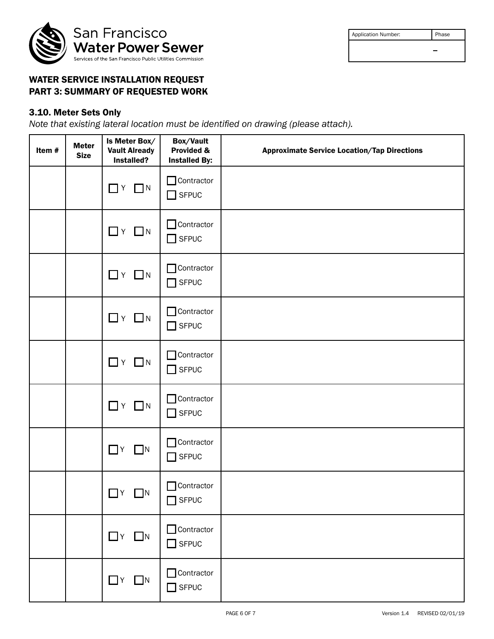

| <b>Application Number:</b> | Phase |
|----------------------------|-------|
|                            | -     |
|                            |       |

## WATER SERVICE INSTALLATION REQUEST PART 3: SUMMARY OF REQUESTED WORK

# 3.10. Meter Sets Only

*Note that existing lateral location must be identified on drawing (please attach).*

| Item# | <b>Meter</b><br><b>Size</b> | Is Meter Box/<br><b>Vault Already</b><br>Installed? | Box/Vault<br>Provided &<br><b>Installed By:</b> | <b>Approximate Service Location/Tap Directions</b> |  |
|-------|-----------------------------|-----------------------------------------------------|-------------------------------------------------|----------------------------------------------------|--|
|       |                             | $\Box$ N<br>$\Box$ Y                                | $\Box$ Contractor<br>$\Box$ SFPUC               |                                                    |  |
|       |                             | $\Box$ Y $\Box$ N                                   | Contractor<br>$\Box$ SFPUC                      |                                                    |  |
|       |                             | $\Box$ $Y$ $\Box$ $N$                               | Contractor<br>$\Box$ SFPUC                      |                                                    |  |
|       |                             | $\Box$ $Y$ $\Box$ $N$                               | Contractor<br>$\Box$ SFPUC                      |                                                    |  |
|       |                             | $\Box$ $Y$ $\Box$ $N$                               | Contractor<br>$\Box$ SFPUC                      |                                                    |  |
|       |                             | $\Box$ $Y$ $\Box$ $N$                               | $\Box$ Contractor<br>$\Box$ SFPUC               |                                                    |  |
|       |                             | $\Box$ $Y$ $\Box$ $N$                               | Contractor<br>$\Box$ SFPUC                      |                                                    |  |
|       |                             | $\Box$ y $\Box$ n                                   | Contractor<br>$\Box$ SFPUC                      |                                                    |  |
|       |                             | $\Box$ Y $\Box$ N                                   | Contractor<br>$\Box$ SFPUC                      |                                                    |  |
|       |                             | $\Box$ Y $\Box$ N                                   | Contractor<br>$\Box$ SFPUC                      |                                                    |  |